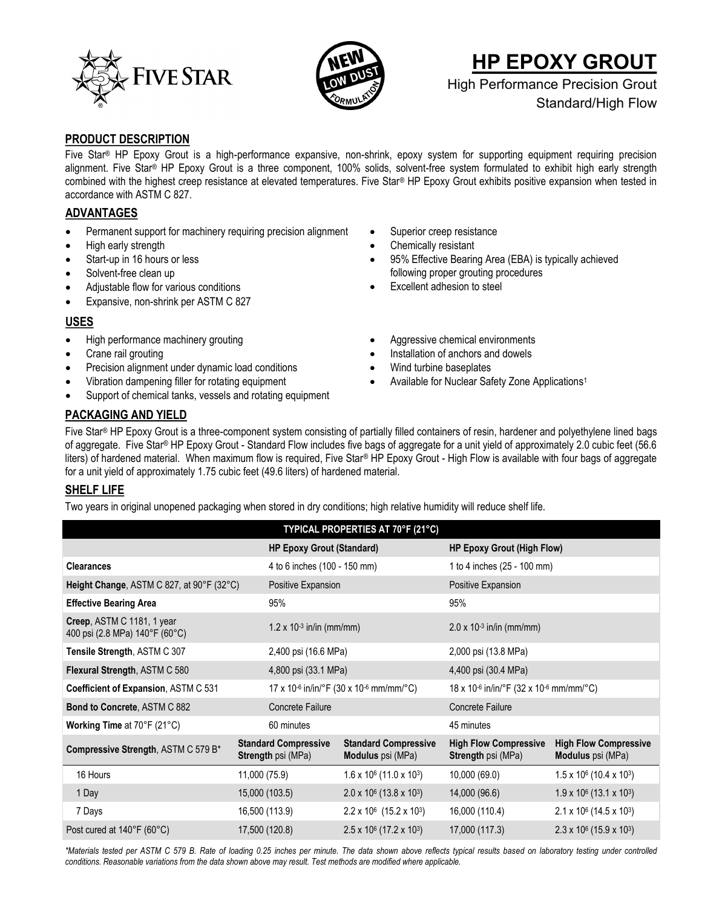



# **HP EPOXY GROUT**

High Performance Precision Grout Standard/High Flow

## **PRODUCT DESCRIPTION**

Five Star® HP Epoxy Grout is a high-performance expansive, non-shrink, epoxy system for supporting equipment requiring precision alignment. Five Star® HP Epoxy Grout is a three component, 100% solids, solvent-free system formulated to exhibit high early strength combined with the highest creep resistance at elevated temperatures. Five Star® HP Epoxy Grout exhibits positive expansion when tested in accordance with ASTM C 827.

# **ADVANTAGES**

- Permanent support for machinery requiring precision alignment
- High early strength
- Start-up in 16 hours or less
- Solvent-free clean up
- Adjustable flow for various conditions
- Expansive, non-shrink per ASTM C 827

## **USES**

- High performance machinery grouting
- Crane rail grouting
- Precision alignment under dynamic load conditions
- Vibration dampening filler for rotating equipment
- Support of chemical tanks, vessels and rotating equipment
- Superior creep resistance
- Chemically resistant
- 95% Effective Bearing Area (EBA) is typically achieved following proper grouting procedures
- Excellent adhesion to steel
- Aggressive chemical environments
- Installation of anchors and dowels
- Wind turbine baseplates
- Available for Nuclear Safety Zone Applications<sup>1</sup>

# **PACKAGING AND YIELD**

Five Star® HP Epoxy Grout is a three-component system consisting of partially filled containers of resin, hardener and polyethylene lined bags of aggregate. Five Star® HP Epoxy Grout - Standard Flow includes five bags of aggregate for a unit yield of approximately 2.0 cubic feet (56.6 liters) of hardened material. When maximum flow is required, Five Star® HP Epoxy Grout - High Flow is available with four bags of aggregate for a unit yield of approximately 1.75 cubic feet (49.6 liters) of hardened material.

## **SHELF LIFE**

Two years in original unopened packaging when stored in dry conditions; high relative humidity will reduce shelf life.

| TYPICAL PROPERTIES AT 70°F (21°C)                        |                                                         |                                                                  |                                                                 |  |  |  |
|----------------------------------------------------------|---------------------------------------------------------|------------------------------------------------------------------|-----------------------------------------------------------------|--|--|--|
|                                                          |                                                         | <b>HP Epoxy Grout (High Flow)</b>                                |                                                                 |  |  |  |
|                                                          |                                                         | 1 to 4 inches (25 - 100 mm)                                      |                                                                 |  |  |  |
| Height Change, ASTM C 827, at 90°F (32°C)                | Positive Expansion                                      |                                                                  | Positive Expansion                                              |  |  |  |
| 95%                                                      |                                                         |                                                                  | 95%                                                             |  |  |  |
|                                                          | $1.2 \times 10^{-3}$ in/in (mm/mm)                      |                                                                  | $2.0 \times 10^{-3}$ in/in (mm/mm)                              |  |  |  |
|                                                          | 2,400 psi (16.6 MPa)                                    |                                                                  | 2,000 psi (13.8 MPa)                                            |  |  |  |
|                                                          | 4,800 psi (33.1 MPa)                                    |                                                                  | 4,400 psi (30.4 MPa)                                            |  |  |  |
|                                                          | 17 x 10-6 in/in/°F (30 x 10-6 mm/mm/°C)                 |                                                                  | 18 x 10 <sup>-6</sup> in/in/°F (32 x 10 <sup>-6</sup> mm/mm/°C) |  |  |  |
| <b>Concrete Failure</b>                                  |                                                         |                                                                  | Concrete Failure                                                |  |  |  |
| 60 minutes                                               |                                                         |                                                                  | 45 minutes                                                      |  |  |  |
| <b>Standard Compressive</b><br><b>Strength psi (MPa)</b> | <b>Standard Compressive</b><br><b>Modulus</b> psi (MPa) | <b>High Flow Compressive</b><br><b>Strength psi (MPa)</b>        | <b>High Flow Compressive</b><br><b>Modulus</b> psi (MPa)        |  |  |  |
| 11,000 (75.9)                                            | $1.6 \times 10^6$ (11.0 x 10 <sup>3</sup> )             | 10,000 (69.0)                                                    | $1.5 \times 10^6$ (10.4 x 10 <sup>3</sup> )                     |  |  |  |
| 15,000 (103.5)                                           | $2.0 \times 10^6$ (13.8 x 10 <sup>3</sup> )             | 14,000 (96.6)                                                    | $1.9 \times 10^6$ (13.1 x 10 <sup>3</sup> )                     |  |  |  |
| 16,500 (113.9)                                           | $2.2 \times 10^6$ (15.2 x 10 <sup>3</sup> )             | 16,000 (110.4)                                                   | $2.1 \times 10^6$ (14.5 x 10 <sup>3</sup> )                     |  |  |  |
| 17,500 (120.8)                                           | $2.5 \times 10^6$ (17.2 x 10 <sup>3</sup> )             | 17,000 (117.3)                                                   | $2.3 \times 10^6$ (15.9 x 103)                                  |  |  |  |
|                                                          |                                                         | <b>HP Epoxy Grout (Standard)</b><br>4 to 6 inches (100 - 150 mm) |                                                                 |  |  |  |

*\*Materials tested per ASTM C 579 B. Rate of loading 0.25 inches per minute. The data shown above reflects typical results based on laboratory testing under controlled conditions. Reasonable variations from the data shown above may result. Test methods are modified where applicable.*